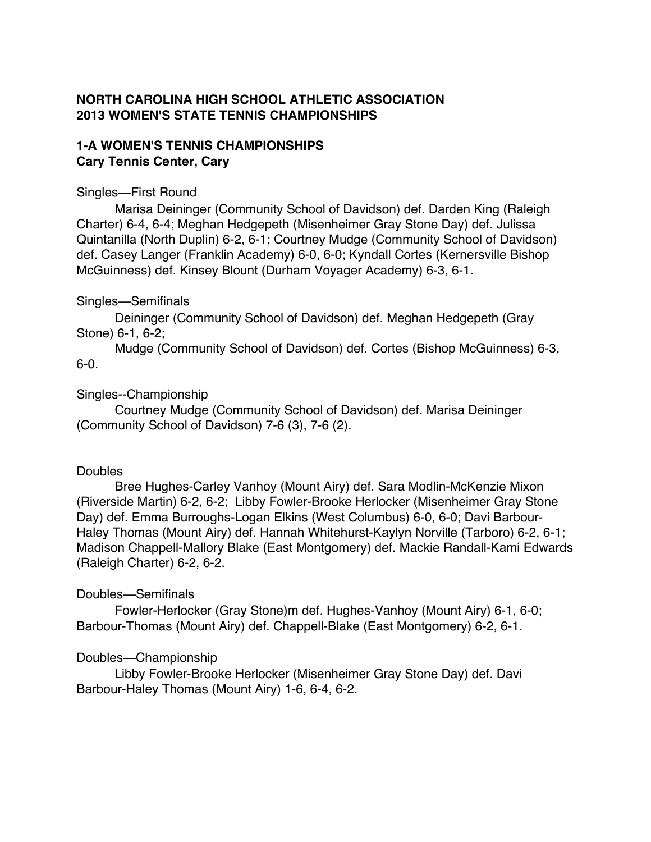# **NORTH CAROLINA HIGH SCHOOL ATHLETIC ASSOCIATION 2013 WOMEN'S STATE TENNIS CHAMPIONSHIPS**

# **1-A WOMEN'S TENNIS CHAMPIONSHIPS Cary Tennis Center, Cary**

### Singles—First Round

Marisa Deininger (Community School of Davidson) def. Darden King (Raleigh Charter) 6-4, 6-4; Meghan Hedgepeth (Misenheimer Gray Stone Day) def. Julissa Quintanilla (North Duplin) 6-2, 6-1; Courtney Mudge (Community School of Davidson) def. Casey Langer (Franklin Academy) 6-0, 6-0; Kyndall Cortes (Kernersville Bishop McGuinness) def. Kinsey Blount (Durham Voyager Academy) 6-3, 6-1.

### Singles—Semifinals

Deininger (Community School of Davidson) def. Meghan Hedgepeth (Gray Stone) 6-1, 6-2;

Mudge (Community School of Davidson) def. Cortes (Bishop McGuinness) 6-3, 6-0.

# Singles--Championship

Courtney Mudge (Community School of Davidson) def. Marisa Deininger (Community School of Davidson) 7-6 (3), 7-6 (2).

# **Doubles**

Bree Hughes-Carley Vanhoy (Mount Airy) def. Sara Modlin-McKenzie Mixon (Riverside Martin) 6-2, 6-2; Libby Fowler-Brooke Herlocker (Misenheimer Gray Stone Day) def. Emma Burroughs-Logan Elkins (West Columbus) 6-0, 6-0; Davi Barbour-Haley Thomas (Mount Airy) def. Hannah Whitehurst-Kaylyn Norville (Tarboro) 6-2, 6-1; Madison Chappell-Mallory Blake (East Montgomery) def. Mackie Randall-Kami Edwards (Raleigh Charter) 6-2, 6-2.

# Doubles—Semifinals

Fowler-Herlocker (Gray Stone)m def. Hughes-Vanhoy (Mount Airy) 6-1, 6-0; Barbour-Thomas (Mount Airy) def. Chappell-Blake (East Montgomery) 6-2, 6-1.

### Doubles—Championship

Libby Fowler-Brooke Herlocker (Misenheimer Gray Stone Day) def. Davi Barbour-Haley Thomas (Mount Airy) 1-6, 6-4, 6-2.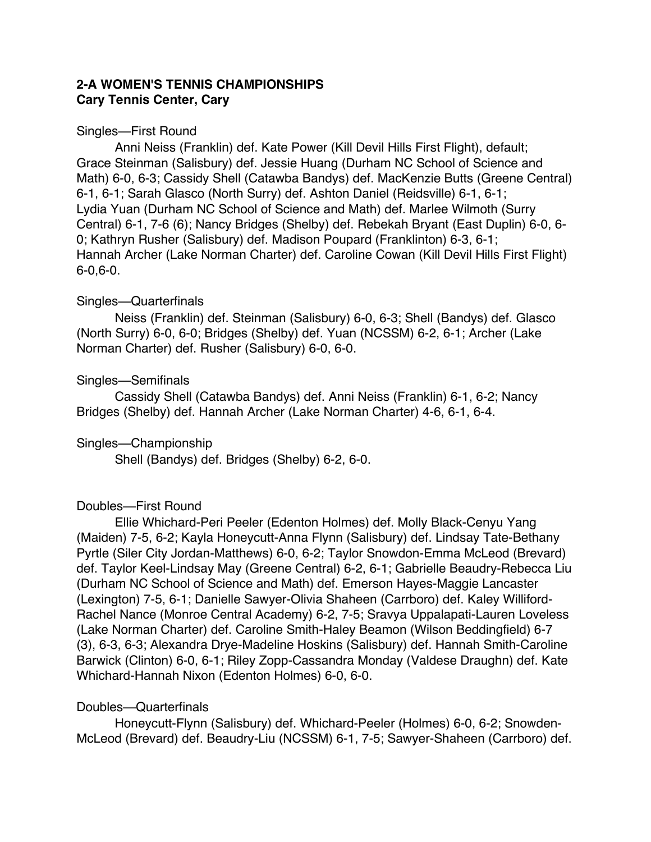### **2-A WOMEN'S TENNIS CHAMPIONSHIPS Cary Tennis Center, Cary**

### Singles—First Round

Anni Neiss (Franklin) def. Kate Power (Kill Devil Hills First Flight), default; Grace Steinman (Salisbury) def. Jessie Huang (Durham NC School of Science and Math) 6-0, 6-3; Cassidy Shell (Catawba Bandys) def. MacKenzie Butts (Greene Central) 6-1, 6-1; Sarah Glasco (North Surry) def. Ashton Daniel (Reidsville) 6-1, 6-1; Lydia Yuan (Durham NC School of Science and Math) def. Marlee Wilmoth (Surry Central) 6-1, 7-6 (6); Nancy Bridges (Shelby) def. Rebekah Bryant (East Duplin) 6-0, 6- 0; Kathryn Rusher (Salisbury) def. Madison Poupard (Franklinton) 6-3, 6-1; Hannah Archer (Lake Norman Charter) def. Caroline Cowan (Kill Devil Hills First Flight) 6-0,6-0.

### Singles—Quarterfinals

Neiss (Franklin) def. Steinman (Salisbury) 6-0, 6-3; Shell (Bandys) def. Glasco (North Surry) 6-0, 6-0; Bridges (Shelby) def. Yuan (NCSSM) 6-2, 6-1; Archer (Lake Norman Charter) def. Rusher (Salisbury) 6-0, 6-0.

# Singles—Semifinals

Cassidy Shell (Catawba Bandys) def. Anni Neiss (Franklin) 6-1, 6-2; Nancy Bridges (Shelby) def. Hannah Archer (Lake Norman Charter) 4-6, 6-1, 6-4.

# Singles—Championship

Shell (Bandys) def. Bridges (Shelby) 6-2, 6-0.

# Doubles—First Round

Ellie Whichard-Peri Peeler (Edenton Holmes) def. Molly Black-Cenyu Yang (Maiden) 7-5, 6-2; Kayla Honeycutt-Anna Flynn (Salisbury) def. Lindsay Tate-Bethany Pyrtle (Siler City Jordan-Matthews) 6-0, 6-2; Taylor Snowdon-Emma McLeod (Brevard) def. Taylor Keel-Lindsay May (Greene Central) 6-2, 6-1; Gabrielle Beaudry-Rebecca Liu (Durham NC School of Science and Math) def. Emerson Hayes-Maggie Lancaster (Lexington) 7-5, 6-1; Danielle Sawyer-Olivia Shaheen (Carrboro) def. Kaley Williford-Rachel Nance (Monroe Central Academy) 6-2, 7-5; Sravya Uppalapati-Lauren Loveless (Lake Norman Charter) def. Caroline Smith-Haley Beamon (Wilson Beddingfield) 6-7 (3), 6-3, 6-3; Alexandra Drye-Madeline Hoskins (Salisbury) def. Hannah Smith-Caroline Barwick (Clinton) 6-0, 6-1; Riley Zopp-Cassandra Monday (Valdese Draughn) def. Kate Whichard-Hannah Nixon (Edenton Holmes) 6-0, 6-0.

# Doubles—Quarterfinals

Honeycutt-Flynn (Salisbury) def. Whichard-Peeler (Holmes) 6-0, 6-2; Snowden-McLeod (Brevard) def. Beaudry-Liu (NCSSM) 6-1, 7-5; Sawyer-Shaheen (Carrboro) def.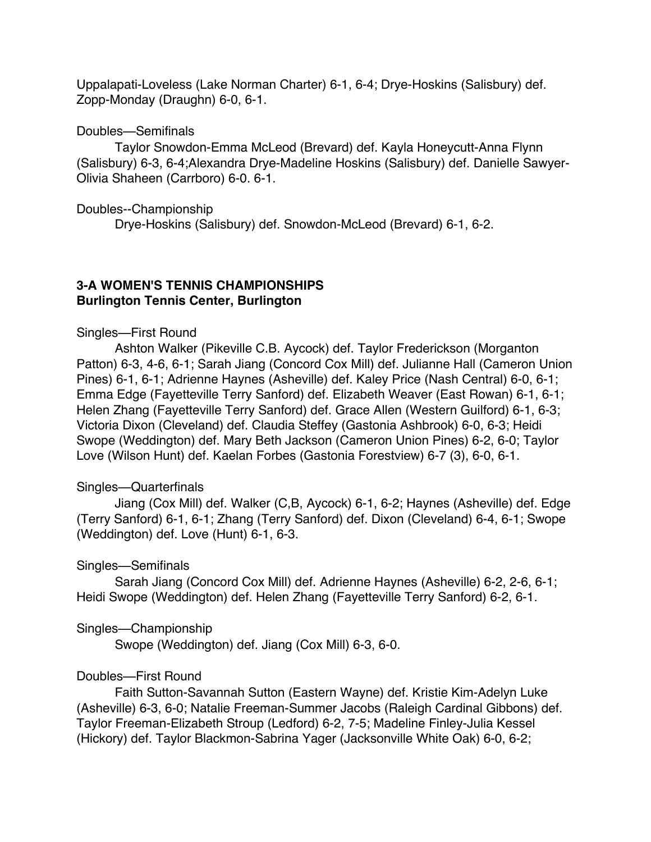Uppalapati-Loveless (Lake Norman Charter) 6-1, 6-4; Drye-Hoskins (Salisbury) def. Zopp-Monday (Draughn) 6-0, 6-1.

#### Doubles—Semifinals

Taylor Snowdon-Emma McLeod (Brevard) def. Kayla Honeycutt-Anna Flynn (Salisbury) 6-3, 6-4;Alexandra Drye-Madeline Hoskins (Salisbury) def. Danielle Sawyer-Olivia Shaheen (Carrboro) 6-0. 6-1.

#### Doubles--Championship

Drye-Hoskins (Salisbury) def. Snowdon-McLeod (Brevard) 6-1, 6-2.

### **3-A WOMEN'S TENNIS CHAMPIONSHIPS Burlington Tennis Center, Burlington**

### Singles—First Round

Ashton Walker (Pikeville C.B. Aycock) def. Taylor Frederickson (Morganton Patton) 6-3, 4-6, 6-1; Sarah Jiang (Concord Cox Mill) def. Julianne Hall (Cameron Union Pines) 6-1, 6-1; Adrienne Haynes (Asheville) def. Kaley Price (Nash Central) 6-0, 6-1; Emma Edge (Fayetteville Terry Sanford) def. Elizabeth Weaver (East Rowan) 6-1, 6-1; Helen Zhang (Fayetteville Terry Sanford) def. Grace Allen (Western Guilford) 6-1, 6-3; Victoria Dixon (Cleveland) def. Claudia Steffey (Gastonia Ashbrook) 6-0, 6-3; Heidi Swope (Weddington) def. Mary Beth Jackson (Cameron Union Pines) 6-2, 6-0; Taylor Love (Wilson Hunt) def. Kaelan Forbes (Gastonia Forestview) 6-7 (3), 6-0, 6-1.

### Singles—Quarterfinals

Jiang (Cox Mill) def. Walker (C,B, Aycock) 6-1, 6-2; Haynes (Asheville) def. Edge (Terry Sanford) 6-1, 6-1; Zhang (Terry Sanford) def. Dixon (Cleveland) 6-4, 6-1; Swope (Weddington) def. Love (Hunt) 6-1, 6-3.

### Singles—Semifinals

Sarah Jiang (Concord Cox Mill) def. Adrienne Haynes (Asheville) 6-2, 2-6, 6-1; Heidi Swope (Weddington) def. Helen Zhang (Fayetteville Terry Sanford) 6-2, 6-1.

#### Singles—Championship

Swope (Weddington) def. Jiang (Cox Mill) 6-3, 6-0.

### Doubles—First Round

Faith Sutton-Savannah Sutton (Eastern Wayne) def. Kristie Kim-Adelyn Luke (Asheville) 6-3, 6-0; Natalie Freeman-Summer Jacobs (Raleigh Cardinal Gibbons) def. Taylor Freeman-Elizabeth Stroup (Ledford) 6-2, 7-5; Madeline Finley-Julia Kessel (Hickory) def. Taylor Blackmon-Sabrina Yager (Jacksonville White Oak) 6-0, 6-2;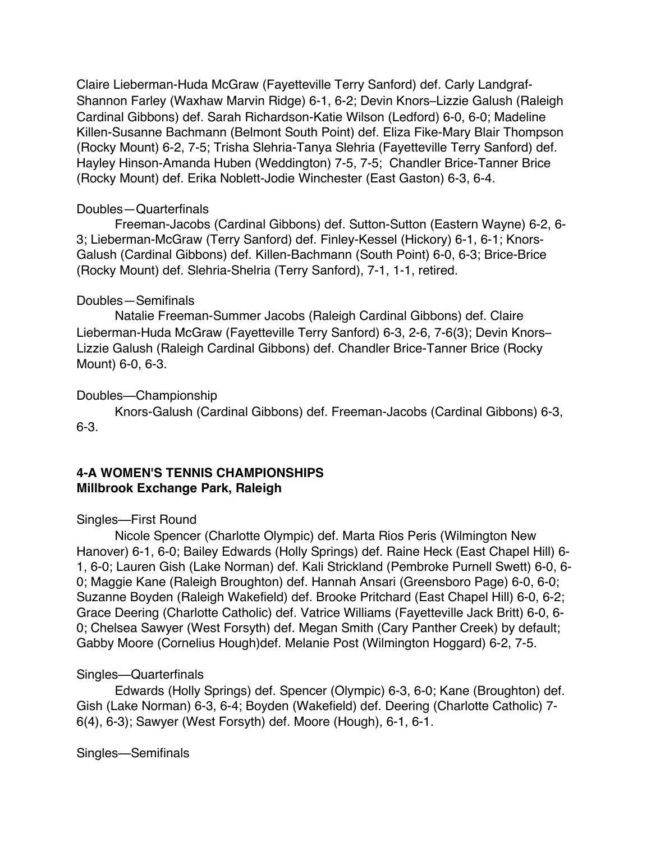Claire Lieberman-Huda McGraw (Fayetteville Terry Sanford) def. Carly Landgraf-Shannon Farley (Waxhaw Marvin Ridge) 6-1, 6-2; Devin Knors–Lizzie Galush (Raleigh Cardinal Gibbons) def. Sarah Richardson-Katie Wilson (Ledford) 6-0, 6-0; Madeline Killen-Susanne Bachmann (Belmont South Point) def. Eliza Fike-Mary Blair Thompson (Rocky Mount) 6-2, 7-5; Trisha Slehria-Tanya Slehria (Fayetteville Terry Sanford) def. Hayley Hinson-Amanda Huben (Weddington) 7-5, 7-5; Chandler Brice-Tanner Brice (Rocky Mount) def. Erika Noblett-Jodie Winchester (East Gaston) 6-3, 6-4.

#### Doubles—Quarterfinals

Freeman-Jacobs (Cardinal Gibbons) def. Sutton-Sutton (Eastern Wayne) 6-2, 6- 3; Lieberman-McGraw (Terry Sanford) def. Finley-Kessel (Hickory) 6-1, 6-1; Knors-Galush (Cardinal Gibbons) def. Killen-Bachmann (South Point) 6-0, 6-3; Brice-Brice (Rocky Mount) def. Slehria-Shelria (Terry Sanford), 7-1, 1-1, retired.

### Doubles—Semifinals

Natalie Freeman-Summer Jacobs (Raleigh Cardinal Gibbons) def. Claire Lieberman-Huda McGraw (Fayetteville Terry Sanford) 6-3, 2-6, 7-6(3); Devin Knors– Lizzie Galush (Raleigh Cardinal Gibbons) def. Chandler Brice-Tanner Brice (Rocky Mount) 6-0, 6-3.

### Doubles—Championship

Knors-Galush (Cardinal Gibbons) def. Freeman-Jacobs (Cardinal Gibbons) 6-3, 6-3.

### **4-A WOMEN'S TENNIS CHAMPIONSHIPS Millbrook Exchange Park, Raleigh**

### Singles—First Round

Nicole Spencer (Charlotte Olympic) def. Marta Rios Peris (Wilmington New Hanover) 6-1, 6-0; Bailey Edwards (Holly Springs) def. Raine Heck (East Chapel Hill) 6- 1, 6-0; Lauren Gish (Lake Norman) def. Kali Strickland (Pembroke Purnell Swett) 6-0, 6- 0; Maggie Kane (Raleigh Broughton) def. Hannah Ansari (Greensboro Page) 6-0, 6-0; Suzanne Boyden (Raleigh Wakefield) def. Brooke Pritchard (East Chapel Hill) 6-0, 6-2; Grace Deering (Charlotte Catholic) def. Vatrice Williams (Fayetteville Jack Britt) 6-0, 6- 0; Chelsea Sawyer (West Forsyth) def. Megan Smith (Cary Panther Creek) by default; Gabby Moore (Cornelius Hough)def. Melanie Post (Wilmington Hoggard) 6-2, 7-5.

### Singles—Quarterfinals

Edwards (Holly Springs) def. Spencer (Olympic) 6-3, 6-0; Kane (Broughton) def. Gish (Lake Norman) 6-3, 6-4; Boyden (Wakefield) def. Deering (Charlotte Catholic) 7- 6(4), 6-3); Sawyer (West Forsyth) def. Moore (Hough), 6-1, 6-1.

Singles—Semifinals